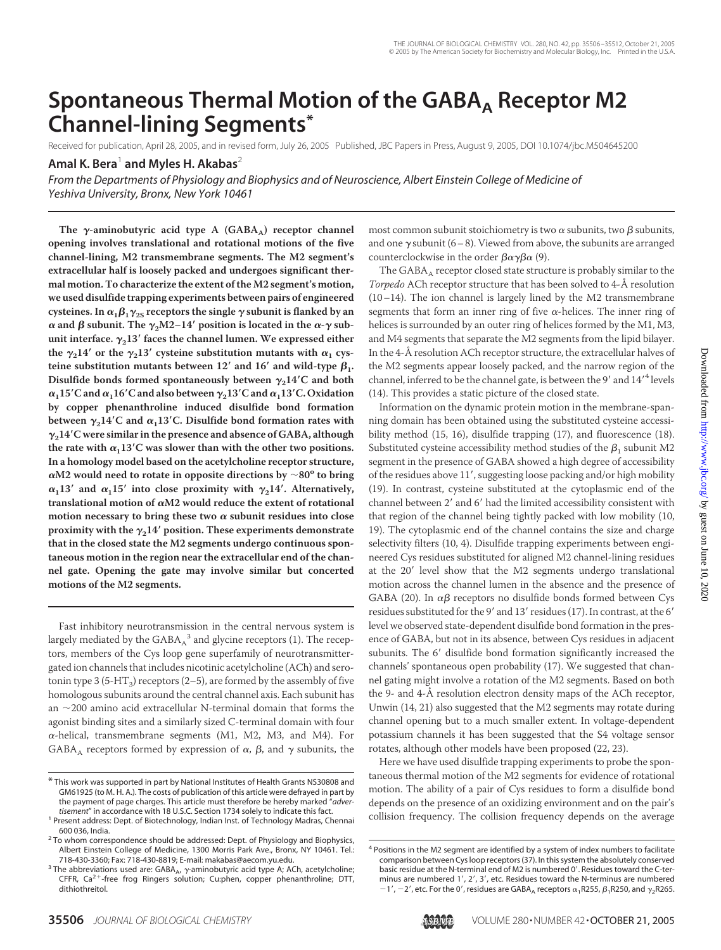# Spontaneous Thermal Motion of the GABA<sub>A</sub> Receptor M2 **Channel-lining Segments\***

Received for publication, April 28, 2005, and in revised form, July 26, 2005 Published, JBC Papers in Press, August 9, 2005, DOI 10.1074/jbc.M504645200 **Amal K. Bera**<sup>1</sup> **and Myles H. Akabas**<sup>2</sup>

*From the Departments of Physiology and Biophysics and of Neuroscience, Albert Einstein College of Medicine of Yeshiva University, Bronx, New York 10461*

The  $\gamma$ -aminobutyric acid type A (GABA<sub>A</sub>) receptor channel **opening involves translational and rotational motions of the five channel-lining, M2 transmembrane segments. The M2 segment's extracellular half is loosely packed and undergoes significant thermal motion. To characterize the extent of the M2 segment's motion, we used disulfide trapping experiments between pairs of engineered**  $\alpha_1 \beta_1 \gamma_{2S}$  receptors the single  $\gamma$  subunit is flanked by an  $\alpha$  and  $\beta$  subunit. The  $\gamma_2$ M2–14 $'$  position is located in the  $\alpha$ - $\gamma$  subunit interface.  $\gamma_2$ 13' faces the channel lumen. We expressed either the  $\gamma_2 14'$  or the  $\gamma_2 13'$  cysteine substitution mutants with  $\alpha_1$  cys**teine substitution mutants between 12' and 16' and wild-type**  $\beta_1$ **.** Disulfide bonds formed spontaneously between  $\gamma_2$ 14<sup>*'*</sup>C and both  $\alpha_1$ 15 $^\prime$ C and  $\alpha_1$ 16 $^\prime$ C and also between  $\gamma_2$ 13 $^\prime$ C and  $\alpha_1$ 13 $^\prime$ C. Oxidation **by copper phenanthroline induced disulfide bond formation** between  $\gamma_2 14^\prime \text{C}$  and  $\alpha_1 13^\prime \text{C}$ . Disulfide bond formation rates with **214C were similar in the presence and absence of GABA, although** the rate with  $\alpha_1$ 13'C was slower than with the other two positions. **In a homology model based on the acetylcholine receptor structure,**  $\alpha$ M2 would need to rotate in opposite directions by  $\sim$  80 $^{\rm o}$  to bring  $\alpha_1 13'$  and  $\alpha_1 15'$  into close proximity with  $\gamma_2 14'$ . Alternatively, translational motion of  $\alpha$ M2 would reduce the extent of rotational motion necessary to bring these two  $\alpha$  subunit residues into close proximity with the  $\gamma_2$ 14' position. These experiments demonstrate **that in the closed state the M2 segments undergo continuous spontaneous motion in the region near the extracellular end of the channel gate. Opening the gate may involve similar but concerted motions of the M2 segments.**

Fast inhibitory neurotransmission in the central nervous system is largely mediated by the  $\mathsf{GABA}_\mathtt{A}{}^3$  and glycine receptors (1). The receptors, members of the Cys loop gene superfamily of neurotransmittergated ion channels that includes nicotinic acetylcholine (ACh) and serotonin type 3 (5-HT<sub>3</sub>) receptors (2–5), are formed by the assembly of five homologous subunits around the central channel axis. Each subunit has an  $\sim$ 200 amino acid extracellular N-terminal domain that forms the agonist binding sites and a similarly sized C-terminal domain with four  $\alpha$ -helical, transmembrane segments (M1, M2, M3, and M4). For  $\mathsf{GABA}_\mathsf{A}$  receptors formed by expression of  $\alpha$ ,  $\beta$ , and  $\gamma$  subunits, the

most common subunit stoichiometry is two  $\alpha$  subunits, two  $\beta$  subunits, and one  $\gamma$  subunit (6–8). Viewed from above, the subunits are arranged counterclockwise in the order  $\beta \alpha \gamma \beta \alpha$  (9).

The  $GABA_A$  receptor closed state structure is probably similar to the *Torpedo* ACh receptor structure that has been solved to 4-Å resolution (10–14). The ion channel is largely lined by the M2 transmembrane segments that form an inner ring of five  $\alpha$ -helices. The inner ring of helices is surrounded by an outer ring of helices formed by the M1, M3, and M4 segments that separate the M2 segments from the lipid bilayer. In the 4-Å resolution ACh receptor structure, the extracellular halves of the M2 segments appear loosely packed, and the narrow region of the channel, inferred to be the channel gate, is between the 9' and 14'<sup>4</sup> levels (14). This provides a static picture of the closed state.

Information on the dynamic protein motion in the membrane-spanning domain has been obtained using the substituted cysteine accessibility method (15, 16), disulfide trapping (17), and fluorescence (18). Substituted cysteine accessibility method studies of the  $\beta_1$  subunit M2 segment in the presence of GABA showed a high degree of accessibility of the residues above 11', suggesting loose packing and/or high mobility (19). In contrast, cysteine substituted at the cytoplasmic end of the channel between 2' and 6' had the limited accessibility consistent with that region of the channel being tightly packed with low mobility (10, 19). The cytoplasmic end of the channel contains the size and charge selectivity filters (10, 4). Disulfide trapping experiments between engineered Cys residues substituted for aligned M2 channel-lining residues at the 20' level show that the M2 segments undergo translational motion across the channel lumen in the absence and the presence of GABA (20). In  $\alpha\beta$  receptors no disulfide bonds formed between Cys residues substituted for the 9' and 13' residues (17). In contrast, at the 6' level we observed state-dependent disulfide bond formation in the presence of GABA, but not in its absence, between Cys residues in adjacent subunits. The 6' disulfide bond formation significantly increased the channels' spontaneous open probability (17). We suggested that channel gating might involve a rotation of the M2 segments. Based on both the 9- and 4-Å resolution electron density maps of the ACh receptor, Unwin (14, 21) also suggested that the M2 segments may rotate during channel opening but to a much smaller extent. In voltage-dependent potassium channels it has been suggested that the S4 voltage sensor rotates, although other models have been proposed (22, 23).

Here we have used disulfide trapping experiments to probe the spontaneous thermal motion of the M2 segments for evidence of rotational motion. The ability of a pair of Cys residues to form a disulfide bond depends on the presence of an oxidizing environment and on the pair's collision frequency. The collision frequency depends on the average



<sup>\*</sup> This work was supported in part by National Institutes of Health Grants NS30808 and GM61925 (to M. H. A.). The costs of publication of this article were defrayed in part by the payment of page charges. This article must therefore be hereby marked "*adver-*

<sup>&</sup>lt;sup>1</sup> Present address: Dept. of Biotechnology, Indian Inst. of Technology Madras, Chennai

<sup>600 036,</sup> India.<br><sup>2</sup> To whom correspondence should be addressed: Dept. of Physiology and Biophysics, Albert Einstein College of Medicine, 1300 Morris Park Ave., Bronx, NY 10461. Tel.:

<sup>718-430-3360;</sup> Fax: 718-430-8819; E-mail: makabas@aecom.yu.edu.<br><sup>3</sup> The abbreviations used are: GABA<sub>A</sub>,  $\gamma$ -aminobutyric acid type A; ACh, acetylcholine; CFFR,  $Ca^{2+}$ -free frog Ringers solution; Cu:phen, copper phenanthroline; DTT, dithiothreitol.

<sup>4</sup> Positions in the M2 segment are identified by a system of index numbers to facilitate comparison between Cys loop receptors (37). In this system the absolutely conserved basic residue at the N-terminal end of M2 is numbered 0'. Residues toward the C-terminus are numbered 1', 2', 3', etc. Residues toward the N-terminus are numbered  $-1'$ ,  $-2'$ , etc. For the 0', residues are GABA<sub>A</sub> receptors  $\alpha_1$ R255,  $\beta_1$ R250, and  $\gamma_2$ R265.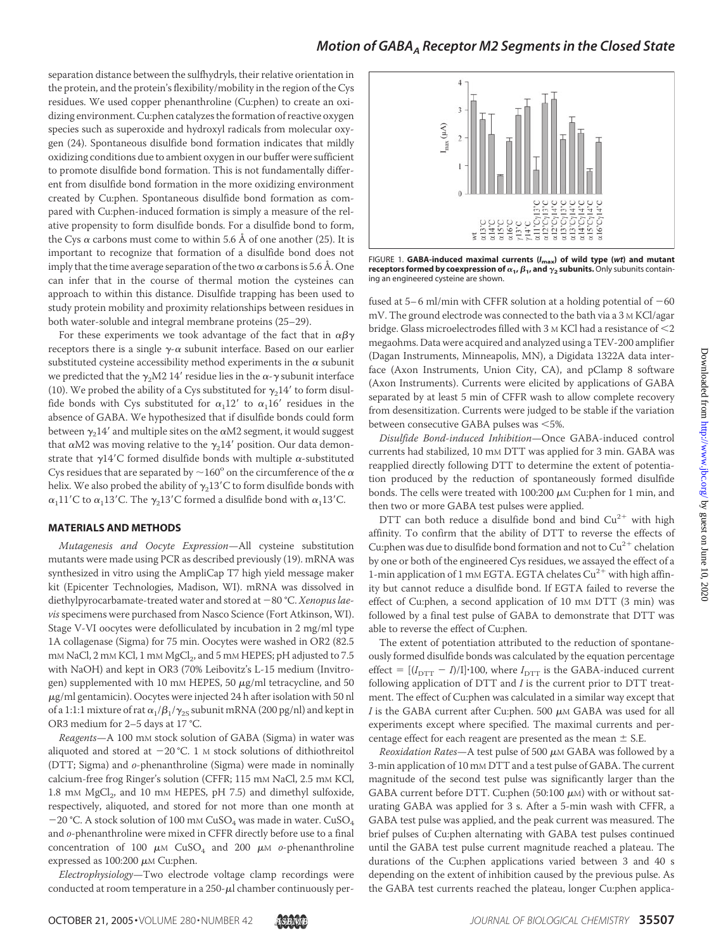separation distance between the sulfhydryls, their relative orientation in the protein, and the protein's flexibility/mobility in the region of the Cys residues. We used copper phenanthroline (Cu:phen) to create an oxidizing environment. Cu:phen catalyzes the formation of reactive oxygen species such as superoxide and hydroxyl radicals from molecular oxygen (24). Spontaneous disulfide bond formation indicates that mildly oxidizing conditions due to ambient oxygen in our buffer were sufficient to promote disulfide bond formation. This is not fundamentally different from disulfide bond formation in the more oxidizing environment created by Cu:phen. Spontaneous disulfide bond formation as compared with Cu:phen-induced formation is simply a measure of the relative propensity to form disulfide bonds. For a disulfide bond to form, the Cys  $\alpha$  carbons must come to within 5.6 Å of one another (25). It is important to recognize that formation of a disulfide bond does not imply that the time average separation of the two  $\alpha$  carbons is 5.6 Å. One can infer that in the course of thermal motion the cysteines can approach to within this distance. Disulfide trapping has been used to study protein mobility and proximity relationships between residues in both water-soluble and integral membrane proteins (25–29).

For these experiments we took advantage of the fact that in  $\alpha\beta\gamma$ receptors there is a single  $\gamma$ - $\alpha$  subunit interface. Based on our earlier substituted cysteine accessibility method experiments in the  $\alpha$  subunit we predicted that the  $\gamma_2$ M2 14' residue lies in the  $\alpha$ - $\gamma$  subunit interface (10). We probed the ability of a Cys substituted for  $\gamma_2$ 14' to form disulfide bonds with Cys substituted for  $\alpha_1 12'$  to  $\alpha_1 16'$  residues in the absence of GABA. We hypothesized that if disulfide bonds could form between  $\gamma_2$ 14 $^\prime$  and multiple sites on the  $\alpha$ M2 segment, it would suggest that  $\alpha$ M2 was moving relative to the  $\gamma_2$ 14 $^\prime$  position. Our data demonstrate that  $\gamma$ 14'C formed disulfide bonds with multiple  $\alpha$ -substituted Cys residues that are separated by  $\sim$  160 $^{\circ}$  on the circumference of the  $\alpha$ helix. We also probed the ability of  $\gamma_2$ 13'C to form disulfide bonds with  $\alpha_1$ 11'C to  $\alpha_1$ 13'C. The  $\gamma_2$ 13'C formed a disulfide bond with  $\alpha_1$ 13'C.

#### **MATERIALS AND METHODS**

*Mutagenesis and Oocyte Expression*—All cysteine substitution mutants were made using PCR as described previously (19). mRNA was synthesized in vitro using the AmpliCap T7 high yield message maker kit (Epicenter Technologies, Madison, WI). mRNA was dissolved in diethylpyrocarbamate-treated water and stored at -80 °C. *Xenopus laevis*specimens were purchased from Nasco Science (Fort Atkinson, WI). Stage V-VI oocytes were defolliculated by incubation in 2 mg/ml type 1A collagenase (Sigma) for 75 min. Oocytes were washed in OR2 (82.5 mM NaCl, 2 mM KCl, 1 mM MgCl<sub>2</sub>, and 5 mM HEPES; pH adjusted to 7.5 with NaOH) and kept in OR3 (70% Leibovitz's L-15 medium (Invitrogen) supplemented with 10 mm HEPES, 50  $\mu$ g/ml tetracycline, and 50  $\mu$ g/ml gentamicin). Oocytes were injected 24 h after isolation with 50 nl of a 1:1:1 mixture of rat  $\alpha_1/\beta_1/\gamma_{2S}$  subunit mRNA (200 pg/nl) and kept in OR3 medium for 2–5 days at 17 °C.

*Reagents*—A 100 mM stock solution of GABA (Sigma) in water was aliquoted and stored at  $-20$  °C. 1 M stock solutions of dithiothreitol (DTT; Sigma) and *o-*phenanthroline (Sigma) were made in nominally calcium-free frog Ringer's solution (CFFR; 115 mM NaCl, 2.5 mM KCl, 1.8 mM  $MgCl<sub>2</sub>$ , and 10 mM HEPES, pH 7.5) and dimethyl sulfoxide, respectively, aliquoted, and stored for not more than one month at  $-20$  °C. A stock solution of 100 mM CuSO<sub>4</sub> was made in water. CuSO<sub>4</sub> and *o-*phenanthroline were mixed in CFFR directly before use to a final concentration of 100  $\mu$ M CuSO<sub>4</sub> and 200  $\mu$ M *o*-phenanthroline expressed as  $100:200 \mu M$  Cu:phen.

*Electrophysiology*—Two electrode voltage clamp recordings were conducted at room temperature in a  $250$ - $\mu$ l chamber continuously per-



FIGURE 1. **GABA-induced maximal currents (***I***max) of wild type (***wt***) and mutant receptors formed by coexpression of**  $\alpha_1$ **,**  $\beta_1$ **, and**  $\gamma_2$  **subunits. Only subunits contain**ing an engineered cysteine are shown.

fused at  $5-6$  ml/min with CFFR solution at a holding potential of  $-60$ mV. The ground electrode was connected to the bath via a 3 M KCl/agar bridge. Glass microelectrodes filled with 3 M KCl had a resistance of <2 megaohms. Data were acquired and analyzed using a TEV-200 amplifier (Dagan Instruments, Minneapolis, MN), a Digidata 1322A data interface (Axon Instruments, Union City, CA), and pClamp 8 software (Axon Instruments). Currents were elicited by applications of GABA separated by at least 5 min of CFFR wash to allow complete recovery from desensitization. Currents were judged to be stable if the variation between consecutive GABA pulses was <5%.

*Disulfide Bond-induced Inhibition*—Once GABA-induced control currents had stabilized, 10 mM DTT was applied for 3 min. GABA was reapplied directly following DTT to determine the extent of potentiation produced by the reduction of spontaneously formed disulfide bonds. The cells were treated with 100:200  $\mu$ M Cu:phen for 1 min, and then two or more GABA test pulses were applied.

DTT can both reduce a disulfide bond and bind  $Cu^{2+}$  with high affinity. To confirm that the ability of DTT to reverse the effects of Cu:phen was due to disulfide bond formation and not to  $Cu^{2+}$  chelation by one or both of the engineered Cys residues, we assayed the effect of a 1-min application of 1 mM EGTA. EGTA chelates  $Cu^{2+}$  with high affinity but cannot reduce a disulfide bond. If EGTA failed to reverse the effect of Cu:phen, a second application of 10 mm DTT (3 min) was followed by a final test pulse of GABA to demonstrate that DTT was able to reverse the effect of Cu:phen.

The extent of potentiation attributed to the reduction of spontaneously formed disulfide bonds was calculated by the equation percentage effect =  $[(I_{\text{DTT}} - I)/I] \cdot 100$ , where  $I_{\text{DTT}}$  is the GABA-induced current following application of DTT and *I* is the current prior to DTT treatment. The effect of Cu:phen was calculated in a similar way except that  $I$  is the GABA current after Cu:phen. 500  $\mu$ M GABA was used for all experiments except where specified. The maximal currents and percentage effect for each reagent are presented as the mean  $\pm$  S.E.

*Reoxidation Rates*—A test pulse of 500  $\mu$ M GABA was followed by a 3-min application of 10 mM DTT and a test pulse of GABA. The current magnitude of the second test pulse was significantly larger than the GABA current before DTT. Cu:phen (50:100  $\mu$ M) with or without saturating GABA was applied for 3 s. After a 5-min wash with CFFR, a GABA test pulse was applied, and the peak current was measured. The brief pulses of Cu:phen alternating with GABA test pulses continued until the GABA test pulse current magnitude reached a plateau. The durations of the Cu:phen applications varied between 3 and 40 s depending on the extent of inhibition caused by the previous pulse. As the GABA test currents reached the plateau, longer Cu:phen applica-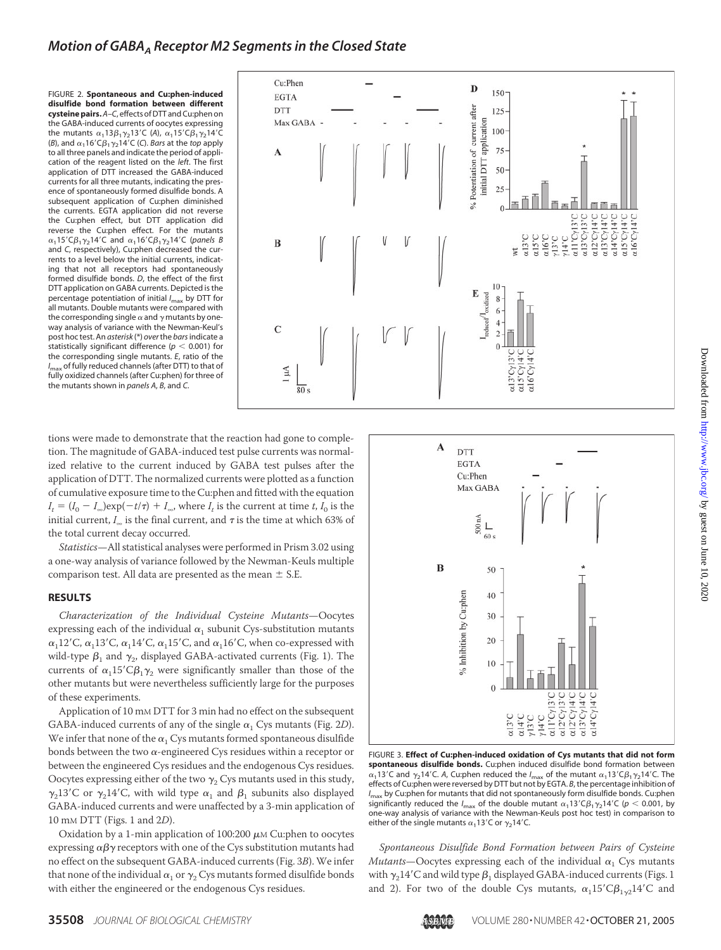## *Motion of GABA<sub>A</sub> Receptor M2 Segments in the Closed State*

FIGURE 2. **Spontaneous and Cu:phen-induced disulfide bond formation between different cysteine pairs.***A–C*, effects of DTT and Cu:phen on the GABA-induced currents of oocytes expressing the mutants  $\alpha_1$ 13 $\beta_1$  $\gamma_2$ 13'C (A),  $\alpha_1$ 15'C $\beta_1$  $\gamma_2$ 14'C (*B*), and  $\alpha_1$ 16'C $\beta_1$  $\gamma_2$ 14'C (*C*). *Bars* at the *top* apply to all three panels and indicate the period of application of the reagent listed on the *left*. The first application of DTT increased the GABA-induced currents for all three mutants, indicating the presence of spontaneously formed disulfide bonds. A subsequent application of Cu:phen diminished the currents. EGTA application did not reverse the Cu:phen effect, but DTT application did reverse the Cu:phen effect. For the mutants  $\alpha_1$ 15'C $\beta_1$  $\gamma_2$ 14'C and  $\alpha_1$ 16'C $\beta_1$  $\gamma_2$ 14'C (panels B and *C*, respectively), Cu:phen decreased the currents to a level below the initial currents, indicating that not all receptors had spontaneously formed disulfide bonds. *D*, the effect of the first DTT application on GABA currents. Depicted is the percentage potentiation of initial *I*max by DTT for all mutants. Double mutants were compared with the corresponding single  $\alpha$  and  $\gamma$  mutants by oneway analysis of variance with the Newman-Keul's post hoc test. An *asterisk* (\*) *over*the *bars*indicate a statistically significant difference ( $p < 0.001$ ) for the corresponding single mutants. *E*, ratio of the *I*max of fully reduced channels (after DTT) to that of fully oxidized channels (after Cu:phen) for three of the mutants shown in *panels A*, *B*, and *C*.



tions were made to demonstrate that the reaction had gone to completion. The magnitude of GABA-induced test pulse currents was normalized relative to the current induced by GABA test pulses after the application of DTT. The normalized currents were plotted as a function of cumulative exposure time to the Cu:phen and fitted with the equation  $I_t = (I_0 - I_{\infty})\exp(-t/\tau) + I_{\infty}$ , where  $I_t$  is the current at time *t*,  $I_0$  is the initial current,  $I_{\infty}$  is the final current, and  $\tau$  is the time at which 63% of the total current decay occurred.

*Statistics*—All statistical analyses were performed in Prism 3.02 using a one-way analysis of variance followed by the Newman-Keuls multiple comparison test. All data are presented as the mean  $\pm$  S.E.

#### **RESULTS**

*Characterization of the Individual Cysteine Mutants*—Oocytes expressing each of the individual  $\alpha_1$  subunit Cys-substitution mutants  $\alpha_1$ 12'C,  $\alpha_1$ 13'C,  $\alpha_1$ 14'C,  $\alpha_1$ 15'C, and  $\alpha_1$ 16'C, when co-expressed with wild-type  $\beta_1$  and  $\gamma_2$ , displayed GABA-activated currents (Fig. 1). The currents of  $\alpha_1 15' C \beta_1 \gamma_2$  were significantly smaller than those of the other mutants but were nevertheless sufficiently large for the purposes of these experiments.

Application of 10 mM DTT for 3 min had no effect on the subsequent GABA-induced currents of any of the single  $\alpha_1$  Cys mutants (Fig. 2*D*). We infer that none of the  $\alpha_1$  Cys mutants formed spontaneous disulfide bonds between the two  $\alpha$ -engineered Cys residues within a receptor or between the engineered Cys residues and the endogenous Cys residues. Oocytes expressing either of the two  $\gamma_2$  Cys mutants used in this study,  $\gamma_2$ 13'C or  $\gamma_2$ 14'C, with wild type  $\alpha_1$  and  $\beta_1$  subunits also displayed GABA-induced currents and were unaffected by a 3-min application of 10 mM DTT (Figs. 1 and 2*D*).

Oxidation by a 1-min application of 100:200  $\mu$ M Cu:phen to oocytes expressing  $\alpha\beta\gamma$  receptors with one of the Cys substitution mutants had no effect on the subsequent GABA-induced currents (Fig. 3*B*). We infer that none of the individual  $\alpha_1$  or  $\gamma_2$  Cys mutants formed disulfide bonds with either the engineered or the endogenous Cys residues.



FIGURE 3. **Effect of Cu:phen-induced oxidation of Cys mutants that did not form spontaneous disulfide bonds.** Cu:phen induced disulfide bond formation between  $\alpha_1$ 13'C and  $\gamma_2$ 14'C. A, Cu:phen reduced the  ${\it l}_{\rm max}$  of the mutant  $\alpha_1$ 13'C $\beta_1 \gamma_2$ 14'C. The effects of Cu:phen were reversed by DTT but not by EGTA. *B*, the percentage inhibition of *I*max by Cu:phen for mutants that did not spontaneously form disulfide bonds. Cu:phen significantly reduced the  $l_{\sf max}$  of the double mutant  $\alpha_1$ 13'C $\beta_1 \gamma_2$ 14'C ( $p <$  0.001, by one-way analysis of variance with the Newman-Keuls post hoc test) in comparison to either of the single mutants  $\alpha_1$ 13'C or  $\gamma_2$ 14'C.

*Spontaneous Disulfide Bond Formation between Pairs of Cysteine Mutants*—Oocytes expressing each of the individual  $\alpha_1$  Cys mutants with  $\gamma_2$ 14'C and wild type  $\beta_1$  displayed GABA-induced currents (Figs. 1 and 2). For two of the double Cys mutants,  $\alpha_1 15' C \beta_{1\gamma 2} 14' C$  and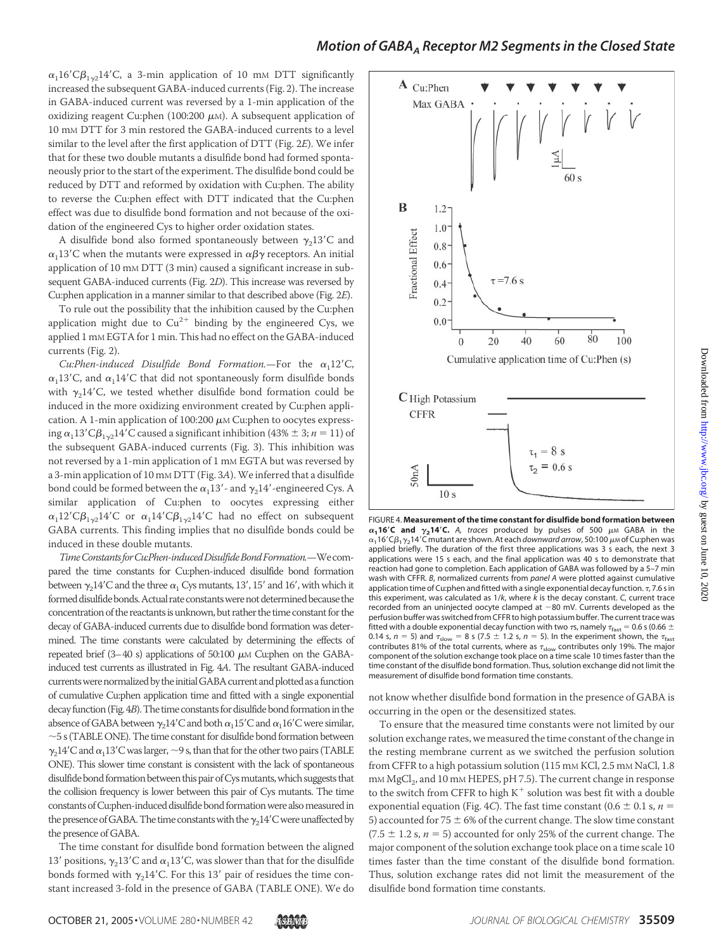## *Motion of GABAA Receptor M2 Segments in the Closed State*

 $\alpha_1$ 16'C $\beta_{1\gamma_2}$ 14'C, a 3-min application of 10 mm DTT significantly increased the subsequent GABA-induced currents (Fig. 2). The increase in GABA-induced current was reversed by a 1-min application of the oxidizing reagent Cu:phen (100:200  $\mu$ M). A subsequent application of 10 mM DTT for 3 min restored the GABA-induced currents to a level similar to the level after the first application of DTT (Fig. 2*E*). We infer that for these two double mutants a disulfide bond had formed spontaneously prior to the start of the experiment. The disulfide bond could be reduced by DTT and reformed by oxidation with Cu:phen. The ability to reverse the Cu:phen effect with DTT indicated that the Cu:phen effect was due to disulfide bond formation and not because of the oxidation of the engineered Cys to higher order oxidation states.

A disulfide bond also formed spontaneously between  $\gamma_2$ 13'C and  $\alpha_1$ 13'C when the mutants were expressed in  $\alpha\beta\gamma$  receptors. An initial application of 10 mM DTT (3 min) caused a significant increase in subsequent GABA-induced currents (Fig. 2*D*). This increase was reversed by Cu:phen application in a manner similar to that described above (Fig. 2*E*).

To rule out the possibility that the inhibition caused by the Cu:phen application might due to  $Cu^{2+}$  binding by the engineered Cys, we applied 1 mM EGTA for 1 min. This had no effect on the GABA-induced currents (Fig. 2).

*Cu:Phen-induced Disulfide Bond Formation.*—For the  $\alpha_1 12^{\prime}$ *C*,  $\alpha_1$ 13'C, and  $\alpha_1$ 14'C that did not spontaneously form disulfide bonds with  $\gamma_2$ 14'C, we tested whether disulfide bond formation could be induced in the more oxidizing environment created by Cu:phen application. A 1-min application of 100:200  $\mu$ M Cu:phen to oocytes expressing  $\alpha_1$ 13'C $\beta_{1\gamma2}$ 14'C caused a significant inhibition (43%  $\pm$  3; *n* = 11) of the subsequent GABA-induced currents (Fig. 3). This inhibition was not reversed by a 1-min application of 1 mM EGTA but was reversed by a 3-min application of 10 mM DTT (Fig. 3*A*).We inferred that a disulfide bond could be formed between the  $\alpha_1$ 13'- and  $\gamma_2$ 14'-engineered Cys. A similar application of Cu:phen to oocytes expressing either  $\alpha_1$ 12'C $\beta_{1\gamma 2}$ 14'C or  $\alpha_1$ 14'C $\beta_{1\gamma 2}$ 14'C had no effect on subsequent GABA currents. This finding implies that no disulfide bonds could be induced in these double mutants.

*TimeConstantsforCu:Phen-inducedDisulfideBondFormation.*—Wecompared the time constants for Cu:phen-induced disulfide bond formation between  $\gamma_2$ 14'C and the three  $\alpha_1$  Cys mutants, 13', 15' and 16', with which it formed disulfide bonds. Actual rate constants were not determined because the concentration of the reactants is unknown, but rather the time constant for the decay of GABA-induced currents due to disulfide bond formation was determined. The time constants were calculated by determining the effects of repeated brief (3-40 s) applications of 50:100  $\mu$ M Cu:phen on the GABAinduced test currents as illustrated in Fig. 4*A*. The resultant GABA-induced currents were normalized by the initial GABA current and plotted as a function of cumulative Cu:phen application time and fitted with a single exponential decay function (Fig. 4*B*). The time constants for disulfide bond formation in the absence of GABA between  $\gamma_2$ 14'C and both  $\alpha_1$ 15'C and  $\alpha_1$ 16'C were similar,  $\sim$  5 s (TABLE ONE). The time constant for disulfide bond formation between  $\gamma_2$ 14'C and  $\alpha_1$ 13'C was larger, ~9 s, than that for the other two pairs (TABLE ONE). This slower time constant is consistent with the lack of spontaneous disulfide bond formation between this pair of Cys mutants, which suggests that the collision frequency is lower between this pair of Cys mutants. The time constants of Cu:phen-induced disulfide bond formation were also measured in the presence of GABA. The time constants with the  $\gamma_2 14^\prime\mathrm{C}$  were unaffected by the presence of GABA.

The time constant for disulfide bond formation between the aligned 13' positions,  $\gamma_2$ 13'C and  $\alpha_1$ 13'C, was slower than that for the disulfide bonds formed with  $\gamma_2$ 14'C. For this 13' pair of residues the time constant increased 3-fold in the presence of GABA (TABLE ONE). We do



FIGURE 4. **Measurement of the time constant for disulfide bond formation between**  $\alpha_1$ **16<sup>***c***</sup> and**  $\gamma_2$ **14<sup>***r***</sup>C.** A, traces produced by pulses of 500  $\mu$ m GABA in the  $\alpha_1$ 16 'C $\beta_1$   $\gamma_2$ 14 'C mutant are shown. At each *downward arrow,* 50:100  $\mu$ м of Cu:phen was applied briefly. The duration of the first three applications was 3 s each, the next 3 applications were 15 s each, and the final application was 40 s to demonstrate that reaction had gone to completion. Each application of GABA was followed by a 5–7 min wash with CFFR. *B*, normalized currents from *panel A* were plotted against cumulative application time of Cu:phen and fitted with a single exponential decay function.  $\tau$ , 7.6 s in this experiment, was calculated as 1/*k*, where *k* is the decay constant. *C*, current trace recorded from an uninjected oocyte clamped at  $-80$  mV. Currents developed as the perfusion buffer was switched from CFFR to high potassium buffer. The current trace was fitted with a double exponential decay function with two  $\tau s$ , namely  $\tau_{\text{fast}} = 0.6$  s (0.66  $\pm$ 0.14 s,  $n = 5$ ) and  $\tau_{\text{slow}} = 8$  s (7.5  $\pm$  1.2 s,  $n = 5$ ). In the experiment shown, the  $\tau_{\text{fast}}$ <br>contributes 81% of the total currents, where as  $\tau_{\text{slow}}$  contributes only 19%. The major component of the solution exchange took place on a time scale 10 times faster than the time constant of the disulfide bond formation. Thus, solution exchange did not limit the measurement of disulfide bond formation time constants.

not know whether disulfide bond formation in the presence of GABA is occurring in the open or the desensitized states.

To ensure that the measured time constants were not limited by our solution exchange rates, we measured the time constant of the change in the resting membrane current as we switched the perfusion solution from CFFR to a high potassium solution (115 mM KCl, 2.5 mM NaCl, 1.8 mM MgCl<sub>2</sub>, and 10 mM HEPES, pH 7.5). The current change in response to the switch from CFFR to high  $K^+$  solution was best fit with a double exponential equation (Fig. 4*C*). The fast time constant (0.6  $\pm$  0.1 s, *n* = 5) accounted for 75  $\pm$  6% of the current change. The slow time constant (7.5  $\pm$  1.2 s,  $n = 5$ ) accounted for only 25% of the current change. The major component of the solution exchange took place on a time scale 10 times faster than the time constant of the disulfide bond formation. Thus, solution exchange rates did not limit the measurement of the disulfide bond formation time constants.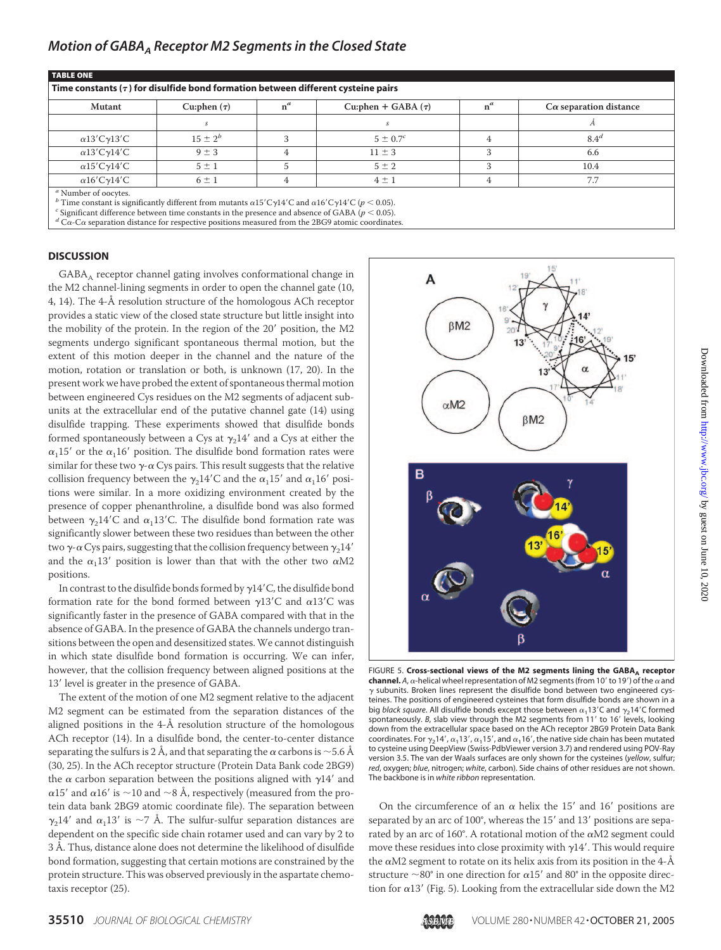| <b>Mutant</b>               | Cu:phen $(\tau)$ | $n^a$ | Cu:phen + GABA $(\tau)$ | $n^a$ | $C\alpha$ separation distance |
|-----------------------------|------------------|-------|-------------------------|-------|-------------------------------|
|                             |                  |       |                         |       |                               |
| $\alpha$ 13'C $\gamma$ 13'C | $15 \pm 2^{b}$   |       | $5 \pm 0.7^c$           | 4     | 8.4 <sup>d</sup>              |
| $\alpha$ 13'C $\gamma$ 14'C | $9 \pm 3$        | 4     | $11 \pm 3$              |       | 6.6                           |
| $\alpha$ 15'C $\gamma$ 14'C | $5 \pm 1$        | 5     | $5 \pm 2$               |       | 10.4                          |
| $\alpha$ 16'C $\gamma$ 14'C | $6 \pm 1$        | 4     | $4 \pm 1$               | 4     | 7.7                           |

 ${}^d$  C $\alpha$ -C $\alpha$  separation distance for respective positions measured from the 2BG9 atomic coordinates.

#### **DISCUSSION**

GABA<sub>A</sub> receptor channel gating involves conformational change in the M2 channel-lining segments in order to open the channel gate (10, 4, 14). The 4-Å resolution structure of the homologous ACh receptor provides a static view of the closed state structure but little insight into the mobility of the protein. In the region of the 20' position, the M2 segments undergo significant spontaneous thermal motion, but the extent of this motion deeper in the channel and the nature of the motion, rotation or translation or both, is unknown (17, 20). In the present work we have probed the extent of spontaneous thermal motion between engineered Cys residues on the M2 segments of adjacent subunits at the extracellular end of the putative channel gate (14) using disulfide trapping. These experiments showed that disulfide bonds formed spontaneously between a Cys at  $\gamma_2$ 14 $^\prime$  and a Cys at either the  $\alpha_1$ 15' or the  $\alpha_1$ 16' position. The disulfide bond formation rates were similar for these two  $\gamma$ - $\alpha$  Cys pairs. This result suggests that the relative collision frequency between the  $\gamma_2$ 14'C and the  $\alpha_1$ 15' and  $\alpha_1$ 16' positions were similar. In a more oxidizing environment created by the presence of copper phenanthroline, a disulfide bond was also formed between  $\gamma_2$ 14'C and  $\alpha_1$ 13'C. The disulfide bond formation rate was significantly slower between these two residues than between the other two  $\gamma$ - $\alpha$  Cys pairs, suggesting that the collision frequency between  $\gamma_214'$ and the  $\alpha_1$ 13' position is lower than that with the other two  $\alpha$ M2 positions.

In contrast to the disulfide bonds formed by  $\gamma$ 14'C, the disulfide bond formation rate for the bond formed between  $\gamma$ 13'C and  $\alpha$ 13'C was significantly faster in the presence of GABA compared with that in the absence of GABA. In the presence of GABA the channels undergo transitions between the open and desensitized states.We cannot distinguish in which state disulfide bond formation is occurring. We can infer, however, that the collision frequency between aligned positions at the 13' level is greater in the presence of GABA.

The extent of the motion of one M2 segment relative to the adjacent M2 segment can be estimated from the separation distances of the aligned positions in the 4-Å resolution structure of the homologous ACh receptor (14). In a disulfide bond, the center-to-center distance separating the sulfurs is 2 Å, and that separating the  $\alpha$  carbons is  ${\sim}$  5.6 Å (30, 25). In the ACh receptor structure (Protein Data Bank code 2BG9) the  $\alpha$  carbon separation between the positions aligned with  $\gamma$ 14 $^\prime$  and α15 $^{\prime}$  and α16 $^{\prime}$  is  ${\sim}$ 10 and  ${\sim}$ 8 Å, respectively (measured from the protein data bank 2BG9 atomic coordinate file). The separation between  $\gamma_2$ 14' and  $\alpha_1$ 13' is ~7 Å. The sulfur-sulfur separation distances are dependent on the specific side chain rotamer used and can vary by 2 to 3 Å. Thus, distance alone does not determine the likelihood of disulfide bond formation, suggesting that certain motions are constrained by the protein structure. This was observed previously in the aspartate chemotaxis receptor (25).



FIGURE 5. Cross-sectional views of the M2 segments lining the GABA<sub>A</sub> receptor **channel.** A,  $\alpha$ -helical wheel representation of M2 segments (from 10' to 19') of the  $\alpha$  and  $\gamma$  subunits. Broken lines represent the disulfide bond between two engineered cysteines. The positions of engineered cysteines that form disulfide bonds are shown in a big *black square*. All disulfide bonds except those between  $\alpha_1$ 13'C and  $\gamma_2$ 14'C formed spontaneously. *B*, slab view through the M2 segments from 11' to 16' levels, looking down from the extracellular space based on the ACh receptor 2BG9 Protein Data Bank coordinates. For  $\gamma_2$ 14',  $\alpha_1$ 13',  $\alpha_1$ 15', and  $\alpha_1$ 16', the native side chain has been mutated to cysteine using DeepView (Swiss-PdbViewer version 3.7) and rendered using POV-Ray version 3.5. The van der Waals surfaces are only shown for the cysteines (*yellow*, sulfur; *red*, oxygen; *blue*, nitrogen; *white*, carbon). Side chains of other residues are not shown. The backbone is in *white ribbon* representation.

On the circumference of an  $\alpha$  helix the 15' and 16' positions are separated by an arc of 100°, whereas the 15' and 13' positions are separated by an arc of 160°. A rotational motion of the  $\alpha$ M2 segment could move these residues into close proximity with  $\gamma$ 14'. This would require the  $\alpha$ M2 segment to rotate on its helix axis from its position in the 4- $\AA$ structure  $\sim$ 80° in one direction for  $\alpha 15'$  and 80° in the opposite direction for  $\alpha$ 13' (Fig. 5). Looking from the extracellular side down the M2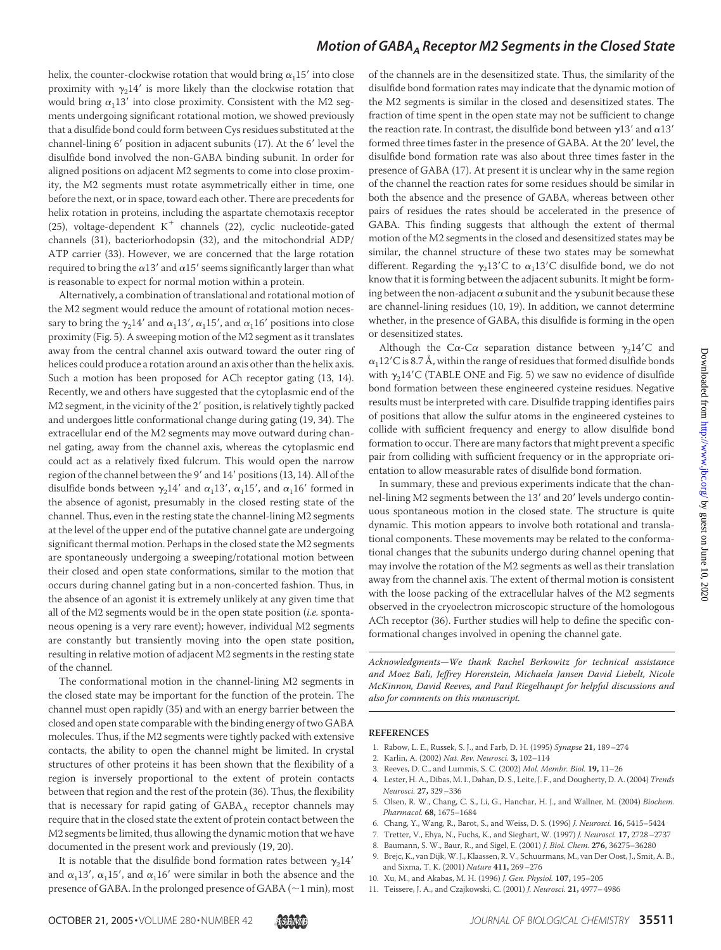## *Motion of GABAA Receptor M2 Segments in the Closed State*

helix, the counter-clockwise rotation that would bring  $\alpha_1 15'$  into close proximity with  $\gamma_2 14'$  is more likely than the clockwise rotation that would bring  $\alpha_1 13'$  into close proximity. Consistent with the M2 segments undergoing significant rotational motion, we showed previously that a disulfide bond could form between Cys residues substituted at the channel-lining 6' position in adjacent subunits (17). At the 6' level the disulfide bond involved the non-GABA binding subunit. In order for aligned positions on adjacent M2 segments to come into close proximity, the M2 segments must rotate asymmetrically either in time, one before the next, or in space, toward each other. There are precedents for helix rotation in proteins, including the aspartate chemotaxis receptor (25), voltage-dependent  $K^+$  channels (22), cyclic nucleotide-gated channels (31), bacteriorhodopsin (32), and the mitochondrial ADP/ ATP carrier (33). However, we are concerned that the large rotation required to bring the  $\alpha$ 13 $^{\prime}$  and  $\alpha$ 15 $^{\prime}$  seems significantly larger than what is reasonable to expect for normal motion within a protein.

Alternatively, a combination of translational and rotational motion of the M2 segment would reduce the amount of rotational motion necessary to bring the  $\gamma_2$ 14' and  $\alpha_1$ 13',  $\alpha_1$ 15', and  $\alpha_1$ 16' positions into close proximity (Fig. 5). A sweeping motion of the M2 segment as it translates away from the central channel axis outward toward the outer ring of helices could produce a rotation around an axis other than the helix axis. Such a motion has been proposed for ACh receptor gating (13, 14). Recently, we and others have suggested that the cytoplasmic end of the M2 segment, in the vicinity of the 2' position, is relatively tightly packed and undergoes little conformational change during gating (19, 34). The extracellular end of the M2 segments may move outward during channel gating, away from the channel axis, whereas the cytoplasmic end could act as a relatively fixed fulcrum. This would open the narrow region of the channel between the 9' and 14' positions (13, 14). All of the disulfide bonds between  $\gamma_2$ 14' and  $\alpha_1$ 13',  $\alpha_1$ 15', and  $\alpha_1$ 16' formed in the absence of agonist, presumably in the closed resting state of the channel. Thus, even in the resting state the channel-lining M2 segments at the level of the upper end of the putative channel gate are undergoing significant thermal motion. Perhaps in the closed state the M2 segments are spontaneously undergoing a sweeping/rotational motion between their closed and open state conformations, similar to the motion that occurs during channel gating but in a non-concerted fashion. Thus, in the absence of an agonist it is extremely unlikely at any given time that all of the M2 segments would be in the open state position (*i.e.* spontaneous opening is a very rare event); however, individual M2 segments are constantly but transiently moving into the open state position, resulting in relative motion of adjacent M2 segments in the resting state of the channel.

The conformational motion in the channel-lining M2 segments in the closed state may be important for the function of the protein. The channel must open rapidly (35) and with an energy barrier between the closed and open state comparable with the binding energy of two GABA molecules. Thus, if the M2 segments were tightly packed with extensive contacts, the ability to open the channel might be limited. In crystal structures of other proteins it has been shown that the flexibility of a region is inversely proportional to the extent of protein contacts between that region and the rest of the protein (36). Thus, the flexibility that is necessary for rapid gating of  $GABA_A$  receptor channels may require that in the closed state the extent of protein contact between the M2 segments be limited, thus allowing the dynamic motion that we have documented in the present work and previously (19, 20).

It is notable that the disulfide bond formation rates between  $\gamma_2 14'$ and  $\alpha_1$ 13',  $\alpha_1$ 15', and  $\alpha_1$ 16' were similar in both the absence and the presence of GABA. In the prolonged presence of GABA ( $\sim$ 1 min), most of the channels are in the desensitized state. Thus, the similarity of the disulfide bond formation rates may indicate that the dynamic motion of the M2 segments is similar in the closed and desensitized states. The fraction of time spent in the open state may not be sufficient to change the reaction rate. In contrast, the disulfide bond between  $\gamma$ 13' and  $\alpha$ 13' formed three times faster in the presence of GABA. At the 20' level, the disulfide bond formation rate was also about three times faster in the presence of GABA (17). At present it is unclear why in the same region of the channel the reaction rates for some residues should be similar in both the absence and the presence of GABA, whereas between other pairs of residues the rates should be accelerated in the presence of GABA. This finding suggests that although the extent of thermal motion of the M2 segments in the closed and desensitized states may be similar, the channel structure of these two states may be somewhat different. Regarding the  $\gamma_2$ 13'C to  $\alpha_1$ 13'C disulfide bond, we do not know that it is forming between the adjacent subunits. It might be forming between the non-adjacent  $\alpha$  subunit and the  $\gamma$  subunit because these are channel-lining residues (10, 19). In addition, we cannot determine whether, in the presence of GABA, this disulfide is forming in the open or desensitized states.

Although the C $\alpha$ -C $\alpha$  separation distance between  $\gamma_2$ 14'C and  $\alpha_1$ 12'C is 8.7 Å, within the range of residues that formed disulfide bonds with  $\gamma_2 14^\prime$ C (TABLE ONE and Fig. 5) we saw no evidence of disulfide bond formation between these engineered cysteine residues. Negative results must be interpreted with care. Disulfide trapping identifies pairs of positions that allow the sulfur atoms in the engineered cysteines to collide with sufficient frequency and energy to allow disulfide bond formation to occur. There are many factors that might prevent a specific pair from colliding with sufficient frequency or in the appropriate orientation to allow measurable rates of disulfide bond formation.

In summary, these and previous experiments indicate that the channel-lining M2 segments between the 13' and 20' levels undergo continuous spontaneous motion in the closed state. The structure is quite dynamic. This motion appears to involve both rotational and translational components. These movements may be related to the conformational changes that the subunits undergo during channel opening that may involve the rotation of the M2 segments as well as their translation away from the channel axis. The extent of thermal motion is consistent with the loose packing of the extracellular halves of the M2 segments observed in the cryoelectron microscopic structure of the homologous ACh receptor (36). Further studies will help to define the specific conformational changes involved in opening the channel gate.

*Acknowledgments—We thank Rachel Berkowitz for technical assistance and Moez Bali, Jeffrey Horenstein, Michaela Jansen David Liebelt, Nicole McKinnon, David Reeves, and Paul Riegelhaupt for helpful discussions and also for comments on this manuscript.*

#### **REFERENCES**

- 1. Rabow, L. E., Russek, S. J., and Farb, D. H. (1995) *Synapse* **21,** 189–274
- 2. Karlin, A. (2002) *Nat. Rev. Neurosci.* **3,** 102–114
- 3. Reeves, D. C., and Lummis, S. C. (2002) *Mol. Membr. Biol.* **19,** 11–26
- 4. Lester, H. A., Dibas, M. I., Dahan, D. S., Leite, J. F., and Dougherty, D. A. (2004) *Trends Neurosci.* **27,** 329–336
- 5. Olsen, R. W., Chang, C. S., Li, G., Hanchar, H. J., and Wallner, M. (2004) *Biochem. Pharmacol.* **68,** 1675–1684
- 6. Chang, Y., Wang, R., Barot, S., and Weiss, D. S. (1996) *J. Neurosci.* **16,** 5415–5424
- 7. Tretter, V., Ehya, N., Fuchs, K., and Sieghart, W. (1997) *J. Neurosci.* **17,** 2728–2737
- 8. Baumann, S. W., Baur, R., and Sigel, E. (2001) *J. Biol. Chem.* **276,** 36275–36280
- 9. Brejc, K., van Dijk,W. J., Klaassen, R. V., Schuurmans, M., van Der Oost, J., Smit, A. B., and Sixma, T. K. (2001) *Nature* **411,** 269–276
- 10. Xu, M., and Akabas, M. H. (1996) *J. Gen. Physiol.* **107,** 195–205
- 11. Teissere, J. A., and Czajkowski, C. (2001) *J. Neurosci.* **21,** 4977–4986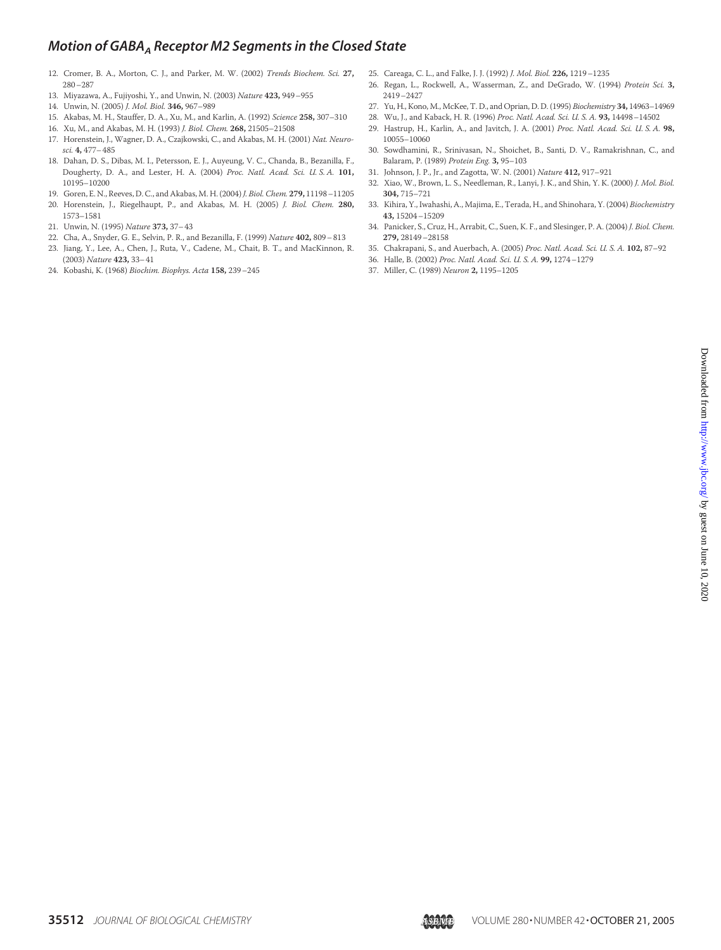# *Motion of GABA<sub>A</sub> Receptor M2 Segments in the Closed State*

- 12. Cromer, B. A., Morton, C. J., and Parker, M. W. (2002) *Trends Biochem. Sci.* **27,** 280–287
- 13. Miyazawa, A., Fujiyoshi, Y., and Unwin, N. (2003) *Nature* **423,** 949–955
- 14. Unwin, N. (2005) *J. Mol. Biol.* **346,** 967–989
- 15. Akabas, M. H., Stauffer, D. A., Xu, M., and Karlin, A. (1992) *Science* **258,** 307–310
- 16. Xu, M., and Akabas, M. H. (1993) *J. Biol. Chem.* **268,** 21505–21508
- 17. Horenstein, J., Wagner, D. A., Czajkowski, C., and Akabas, M. H. (2001) *Nat. Neurosci.* **4,** 477–485
- 18. Dahan, D. S., Dibas, M. I., Petersson, E. J., Auyeung, V. C., Chanda, B., Bezanilla, F., Dougherty, D. A., and Lester, H. A. (2004) *Proc. Natl. Acad. Sci. U. S. A.* **101,** 10195–10200
- 19. Goren, E. N., Reeves, D. C., and Akabas, M. H. (2004)*J. Biol. Chem.* **279,** 11198–11205
- 20. Horenstein, J., Riegelhaupt, P., and Akabas, M. H. (2005) *J. Biol. Chem.* **280,** 1573–1581
- 21. Unwin, N. (1995) *Nature* **373,** 37–43
- 22. Cha, A., Snyder, G. E., Selvin, P. R., and Bezanilla, F. (1999) *Nature* **402,** 809–813
- 23. Jiang, Y., Lee, A., Chen, J., Ruta, V., Cadene, M., Chait, B. T., and MacKinnon, R. (2003) *Nature* **423,** 33–41
- 24. Kobashi, K. (1968) *Biochim. Biophys. Acta* **158,** 239–245
- 25. Careaga, C. L., and Falke, J. J. (1992) *J. Mol. Biol.* **226,** 1219–1235
- 26. Regan, L., Rockwell, A., Wasserman, Z., and DeGrado, W. (1994) *Protein Sci.* **3,** 2419–2427
- 27. Yu, H., Kono, M., McKee, T. D., and Oprian, D. D. (1995) *Biochemistry* **34,** 14963–14969
- 28. Wu, J., and Kaback, H. R. (1996) *Proc. Natl. Acad. Sci. U. S. A.* **93,** 14498–14502
- 29. Hastrup, H., Karlin, A., and Javitch, J. A. (2001) *Proc. Natl. Acad. Sci. U. S. A.* **98,** 10055–10060
- 30. Sowdhamini, R., Srinivasan, N., Shoichet, B., Santi, D. V., Ramakrishnan, C., and Balaram, P. (1989) *Protein Eng.* **3,** 95–103
- 31. Johnson, J. P., Jr., and Zagotta, W. N. (2001) *Nature* **412,** 917–921
- 32. Xiao, W., Brown, L. S., Needleman, R., Lanyi, J. K., and Shin, Y. K. (2000) *J. Mol. Biol.* **304,** 715–721
- 33. Kihira, Y., Iwahashi, A., Majima, E., Terada, H., and Shinohara, Y. (2004) *Biochemistry* **43,** 15204–15209
- 34. Panicker, S., Cruz, H., Arrabit, C., Suen, K. F., and Slesinger, P. A. (2004) *J. Biol. Chem.* **279,** 28149–28158
- 35. Chakrapani, S., and Auerbach, A. (2005) *Proc. Natl. Acad. Sci. U. S. A.* **102,** 87–92
- 36. Halle, B. (2002) *Proc. Natl. Acad. Sci. U. S. A.* **99,** 1274–1279
- 37. Miller, C. (1989) *Neuron* **2,** 1195–1205